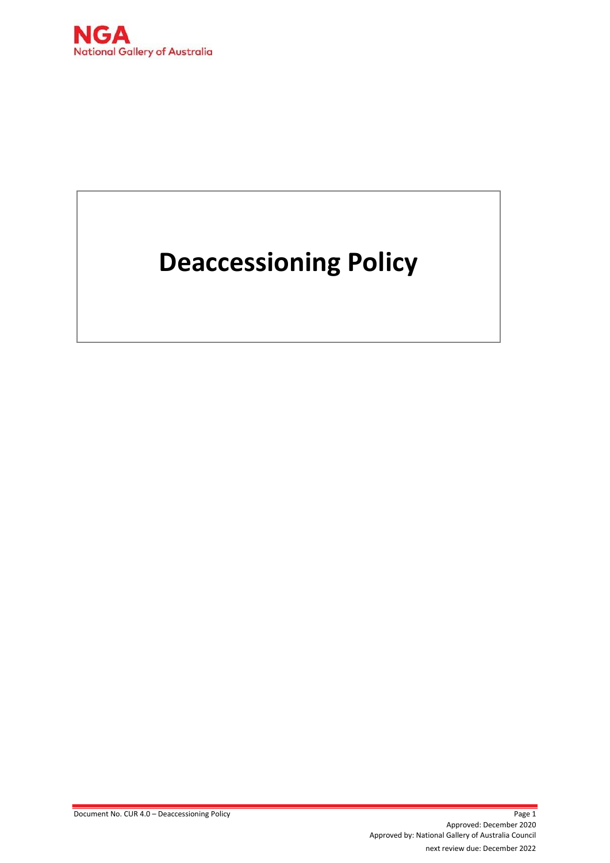

# **Deaccessioning Policy**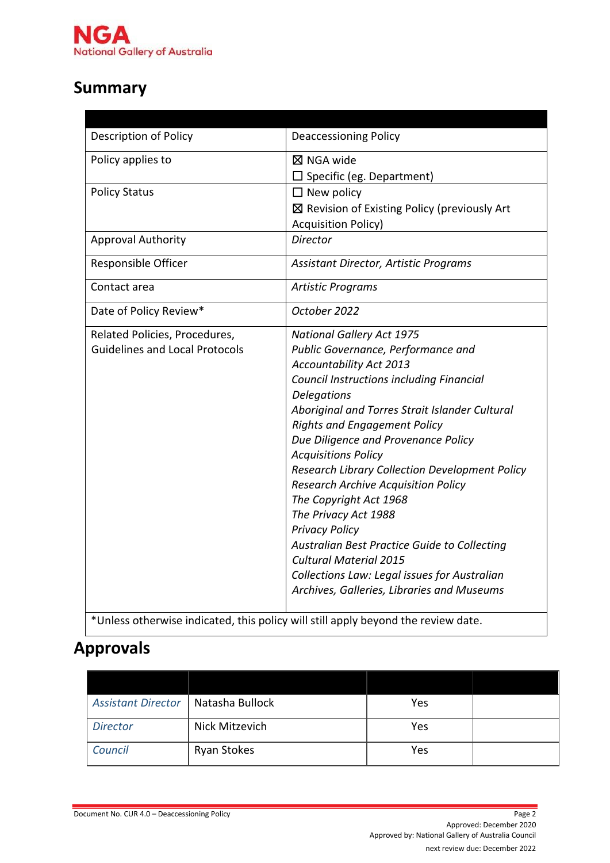

# **Summary**

| <b>Description of Policy</b>          | <b>Deaccessioning Policy</b>                                                          |
|---------------------------------------|---------------------------------------------------------------------------------------|
| Policy applies to                     | $\boxtimes$ NGA wide                                                                  |
|                                       | $\square$ Specific (eg. Department)                                                   |
| <b>Policy Status</b>                  |                                                                                       |
|                                       | $\Box$ New policy                                                                     |
|                                       | $\boxtimes$ Revision of Existing Policy (previously Art<br><b>Acquisition Policy)</b> |
| <b>Approval Authority</b>             | Director                                                                              |
|                                       |                                                                                       |
| Responsible Officer                   | Assistant Director, Artistic Programs                                                 |
| Contact area                          | <b>Artistic Programs</b>                                                              |
| Date of Policy Review*                | October 2022                                                                          |
| Related Policies, Procedures,         | <b>National Gallery Act 1975</b>                                                      |
| <b>Guidelines and Local Protocols</b> | Public Governance, Performance and                                                    |
|                                       | Accountability Act 2013                                                               |
|                                       | <b>Council Instructions including Financial</b>                                       |
|                                       | Delegations                                                                           |
|                                       | Aboriginal and Torres Strait Islander Cultural                                        |
|                                       | <b>Rights and Engagement Policy</b>                                                   |
|                                       | Due Diligence and Provenance Policy                                                   |
|                                       | <b>Acquisitions Policy</b>                                                            |
|                                       | <b>Research Library Collection Development Policy</b>                                 |
|                                       | <b>Research Archive Acquisition Policy</b>                                            |
|                                       | The Copyright Act 1968                                                                |
|                                       | The Privacy Act 1988                                                                  |
|                                       | <b>Privacy Policy</b>                                                                 |
|                                       | Australian Best Practice Guide to Collecting<br><b>Cultural Material 2015</b>         |
|                                       | Collections Law: Legal issues for Australian                                          |
|                                       | Archives, Galleries, Libraries and Museums                                            |
|                                       |                                                                                       |

\*Unless otherwise indicated, this policy will still apply beyond the review date.

# **Approvals**

| <b>Assistant Director</b> | Natasha Bullock    | Yes |  |
|---------------------------|--------------------|-----|--|
| <b>Director</b>           | Nick Mitzevich     | Yes |  |
| Council                   | <b>Ryan Stokes</b> | Yes |  |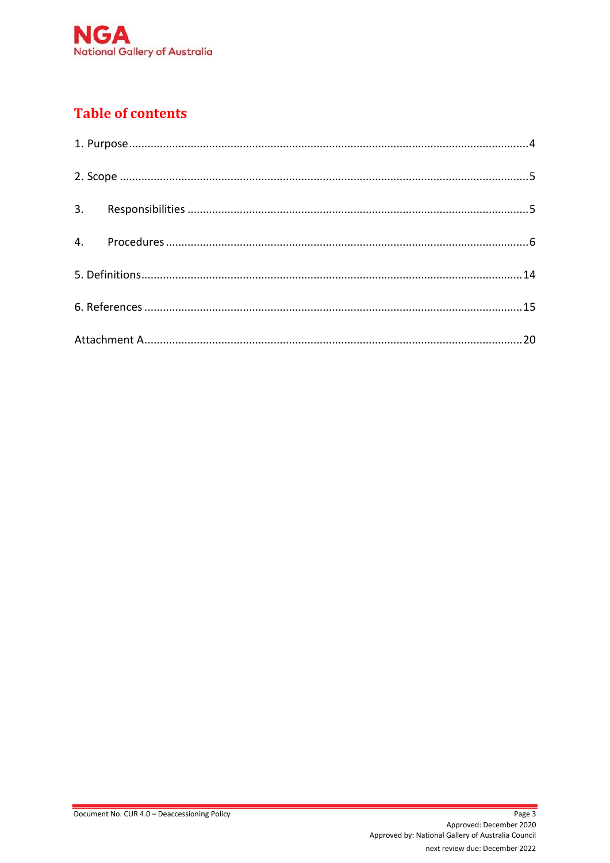

# **Table of contents**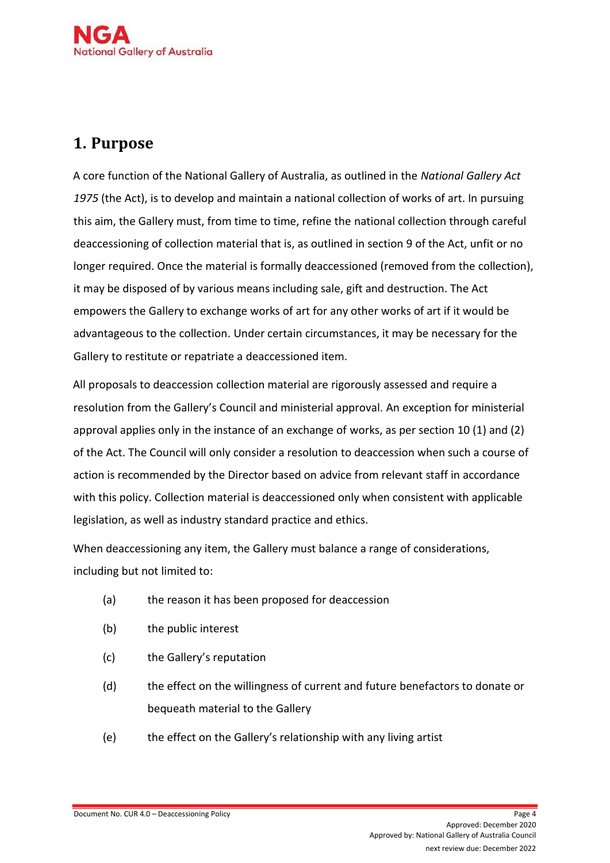

# <span id="page-3-0"></span>**1. Purpose**

A core function of the National Gallery of Australia, as outlined in the *National Gallery Act 1975* (the Act), is to develop and maintain a national collection of works of art. In pursuing this aim, the Gallery must, from time to time, refine the national collection through careful deaccessioning of collection material that is, as outlined in section 9 of the Act, unfit or no longer required. Once the material is formally deaccessioned (removed from the collection), it may be disposed of by various means including sale, gift and destruction. The Act empowers the Gallery to exchange works of art for any other works of art if it would be advantageous to the collection. Under certain circumstances, it may be necessary for the Gallery to restitute or repatriate a deaccessioned item.

All proposals to deaccession collection material are rigorously assessed and require a resolution from the Gallery's Council and ministerial approval. An exception for ministerial approval applies only in the instance of an exchange of works, as per section 10 (1) and (2) of the Act. The Council will only consider a resolution to deaccession when such a course of action is recommended by the Director based on advice from relevant staff in accordance with this policy. Collection material is deaccessioned only when consistent with applicable legislation, as well as industry standard practice and ethics.

When deaccessioning any item, the Gallery must balance a range of considerations, including but not limited to:

- (a) the reason it has been proposed for deaccession
- (b) the public interest
- (c) the Gallery's reputation
- (d) the effect on the willingness of current and future benefactors to donate or bequeath material to the Gallery
- (e) the effect on the Gallery's relationship with any living artist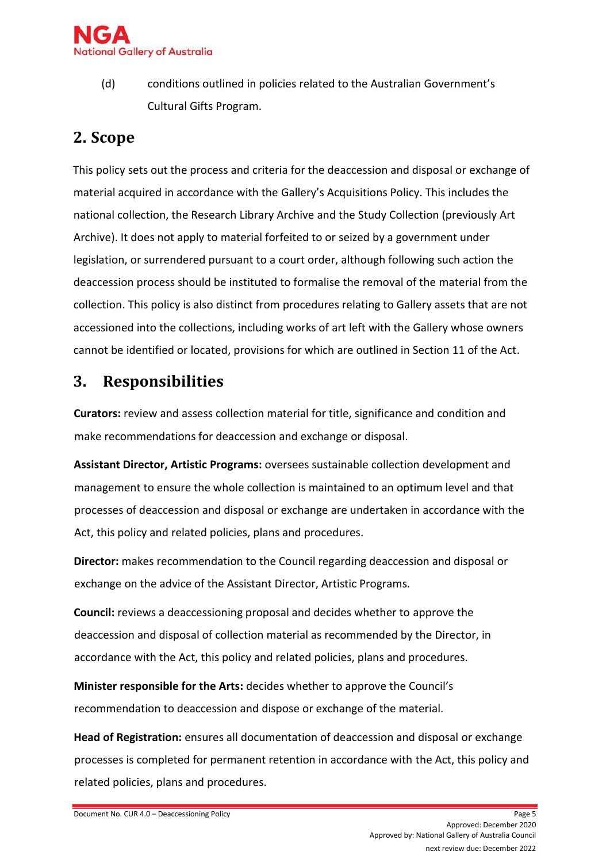

(d) conditions outlined in policies related to the Australian Government's Cultural Gifts Program.

# <span id="page-4-0"></span>**2. Scope**

This policy sets out the process and criteria for the deaccession and disposal or exchange of material acquired in accordance with the Gallery's Acquisitions Policy. This includes the national collection, the Research Library Archive and the Study Collection (previously Art Archive). It does not apply to material forfeited to or seized by a government under legislation, or surrendered pursuant to a court order, although following such action the deaccession process should be instituted to formalise the removal of the material from the collection. This policy is also distinct from procedures relating to Gallery assets that are not accessioned into the collections, including works of art left with the Gallery whose owners cannot be identified or located, provisions for which are outlined in Section 11 of the Act.

# <span id="page-4-1"></span>**3. Responsibilities**

**Curators:** review and assess collection material for title, significance and condition and make recommendations for deaccession and exchange or disposal.

**Assistant Director, Artistic Programs:** oversees sustainable collection development and management to ensure the whole collection is maintained to an optimum level and that processes of deaccession and disposal or exchange are undertaken in accordance with the Act, this policy and related policies, plans and procedures.

**Director:** makes recommendation to the Council regarding deaccession and disposal or exchange on the advice of the Assistant Director, Artistic Programs.

**Council:** reviews a deaccessioning proposal and decides whether to approve the deaccession and disposal of collection material as recommended by the Director, in accordance with the Act, this policy and related policies, plans and procedures.

**Minister responsible for the Arts:** decides whether to approve the Council's recommendation to deaccession and dispose or exchange of the material.

**Head of Registration:** ensures all documentation of deaccession and disposal or exchange processes is completed for permanent retention in accordance with the Act, this policy and related policies, plans and procedures.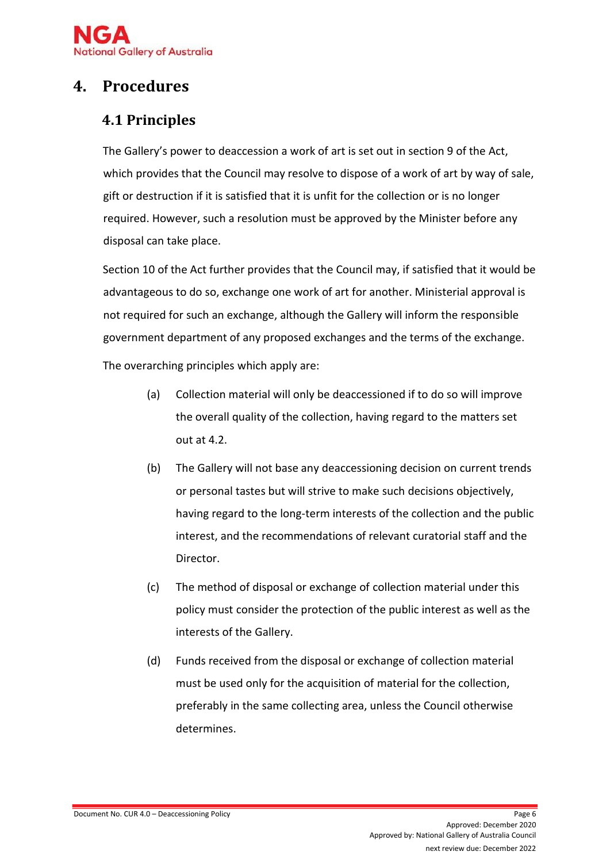

# <span id="page-5-0"></span>**4. Procedures**

# **4.1 Principles**

The Gallery's power to deaccession a work of art is set out in section 9 of the Act, which provides that the Council may resolve to dispose of a work of art by way of sale, gift or destruction if it is satisfied that it is unfit for the collection or is no longer required. However, such a resolution must be approved by the Minister before any disposal can take place.

Section 10 of the Act further provides that the Council may, if satisfied that it would be advantageous to do so, exchange one work of art for another. Ministerial approval is not required for such an exchange, although the Gallery will inform the responsible government department of any proposed exchanges and the terms of the exchange.

The overarching principles which apply are:

- (a) Collection material will only be deaccessioned if to do so will improve the overall quality of the collection, having regard to the matters set out at 4.2.
- (b) The Gallery will not base any deaccessioning decision on current trends or personal tastes but will strive to make such decisions objectively, having regard to the long-term interests of the collection and the public interest, and the recommendations of relevant curatorial staff and the Director.
- (c) The method of disposal or exchange of collection material under this policy must consider the protection of the public interest as well as the interests of the Gallery.
- (d) Funds received from the disposal or exchange of collection material must be used only for the acquisition of material for the collection, preferably in the same collecting area, unless the Council otherwise determines.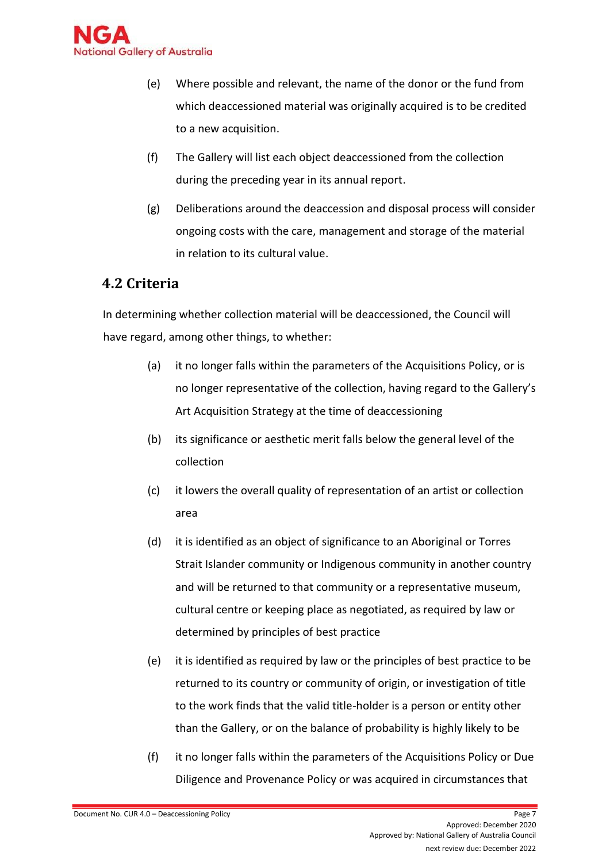

- (e) Where possible and relevant, the name of the donor or the fund from which deaccessioned material was originally acquired is to be credited to a new acquisition.
- (f) The Gallery will list each object deaccessioned from the collection during the preceding year in its annual report.
- (g) Deliberations around the deaccession and disposal process will consider ongoing costs with the care, management and storage of the material in relation to its cultural value.

### **4.2 Criteria**

In determining whether collection material will be deaccessioned, the Council will have regard, among other things, to whether:

- (a) it no longer falls within the parameters of the Acquisitions Policy, or is no longer representative of the collection, having regard to the Gallery's Art Acquisition Strategy at the time of deaccessioning
- (b) its significance or aesthetic merit falls below the general level of the collection
- (c) it lowers the overall quality of representation of an artist or collection area
- (d) it is identified as an object of significance to an Aboriginal or Torres Strait Islander community or Indigenous community in another country and will be returned to that community or a representative museum, cultural centre or keeping place as negotiated, as required by law or determined by principles of best practice
- (e) it is identified as required by law or the principles of best practice to be returned to its country or community of origin, or investigation of title to the work finds that the valid title-holder is a person or entity other than the Gallery, or on the balance of probability is highly likely to be
- (f) it no longer falls within the parameters of the Acquisitions Policy or Due Diligence and Provenance Policy or was acquired in circumstances that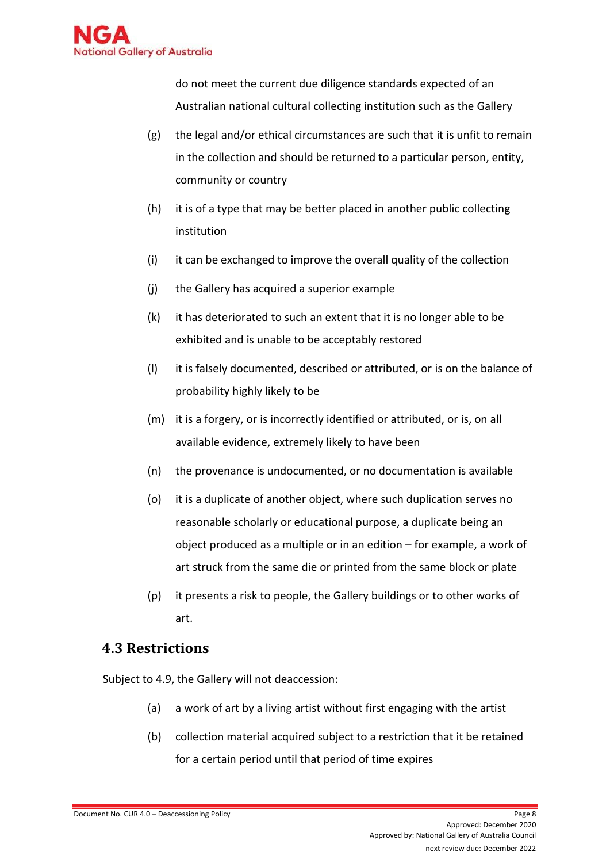

do not meet the current due diligence standards expected of an Australian national cultural collecting institution such as the Gallery

- $(g)$  the legal and/or ethical circumstances are such that it is unfit to remain in the collection and should be returned to a particular person, entity, community or country
- (h) it is of a type that may be better placed in another public collecting institution
- (i) it can be exchanged to improve the overall quality of the collection
- (j) the Gallery has acquired a superior example
- (k) it has deteriorated to such an extent that it is no longer able to be exhibited and is unable to be acceptably restored
- (l) it is falsely documented, described or attributed, or is on the balance of probability highly likely to be
- (m) it is a forgery, or is incorrectly identified or attributed, or is, on all available evidence, extremely likely to have been
- (n) the provenance is undocumented, or no documentation is available
- (o) it is a duplicate of another object, where such duplication serves no reasonable scholarly or educational purpose, a duplicate being an object produced as a multiple or in an edition – for example, a work of art struck from the same die or printed from the same block or plate
- (p) it presents a risk to people, the Gallery buildings or to other works of art.

### **4.3 Restrictions**

Subject to 4.9, the Gallery will not deaccession:

- (a) a work of art by a living artist without first engaging with the artist
- (b) collection material acquired subject to a restriction that it be retained for a certain period until that period of time expires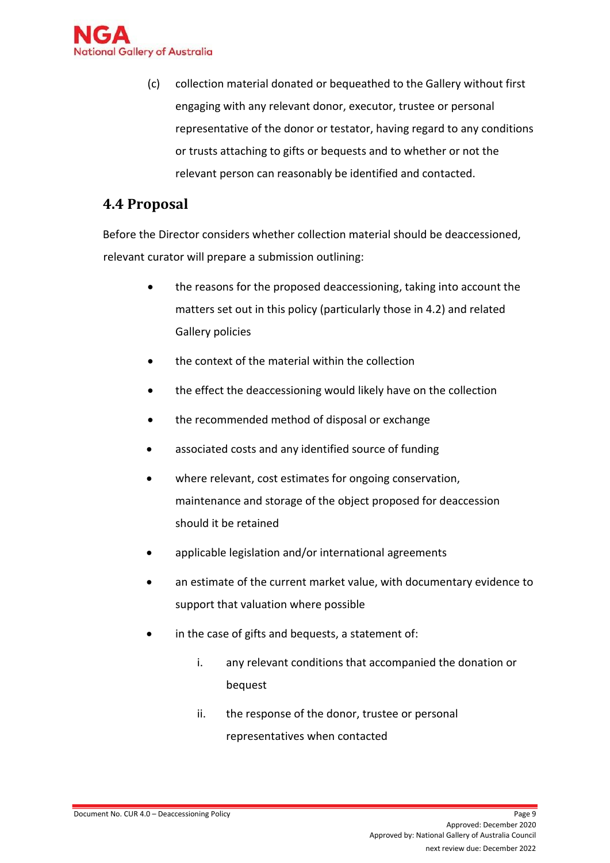

(c) collection material donated or bequeathed to the Gallery without first engaging with any relevant donor, executor, trustee or personal representative of the donor or testator, having regard to any conditions or trusts attaching to gifts or bequests and to whether or not the relevant person can reasonably be identified and contacted.

### **4.4 Proposal**

Before the Director considers whether collection material should be deaccessioned, relevant curator will prepare a submission outlining:

- the reasons for the proposed deaccessioning, taking into account the matters set out in this policy (particularly those in 4.2) and related Gallery policies
- the context of the material within the collection
- the effect the deaccessioning would likely have on the collection
- the recommended method of disposal or exchange
- associated costs and any identified source of funding
- where relevant, cost estimates for ongoing conservation, maintenance and storage of the object proposed for deaccession should it be retained
- applicable legislation and/or international agreements
- an estimate of the current market value, with documentary evidence to support that valuation where possible
- in the case of gifts and bequests, a statement of:
	- i. any relevant conditions that accompanied the donation or bequest
	- ii. the response of the donor, trustee or personal representatives when contacted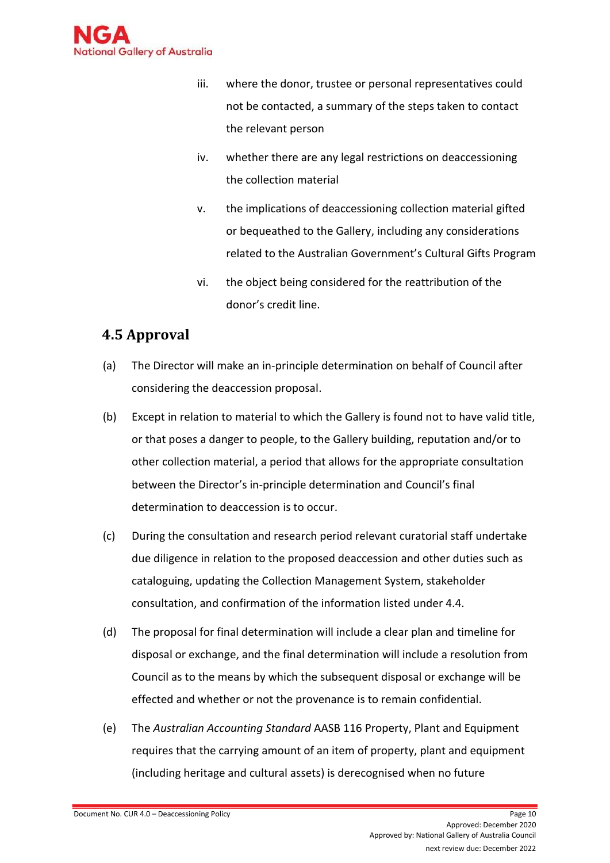

- iii. where the donor, trustee or personal representatives could not be contacted, a summary of the steps taken to contact the relevant person
- iv. whether there are any legal restrictions on deaccessioning the collection material
- v. the implications of deaccessioning collection material gifted or bequeathed to the Gallery, including any considerations related to the Australian Government's Cultural Gifts Program
- vi. the object being considered for the reattribution of the donor's credit line.

### **4.5 Approval**

- (a) The Director will make an in-principle determination on behalf of Council after considering the deaccession proposal.
- (b) Except in relation to material to which the Gallery is found not to have valid title, or that poses a danger to people, to the Gallery building, reputation and/or to other collection material, a period that allows for the appropriate consultation between the Director's in-principle determination and Council's final determination to deaccession is to occur.
- (c) During the consultation and research period relevant curatorial staff undertake due diligence in relation to the proposed deaccession and other duties such as cataloguing, updating the Collection Management System, stakeholder consultation, and confirmation of the information listed under 4.4.
- (d) The proposal for final determination will include a clear plan and timeline for disposal or exchange, and the final determination will include a resolution from Council as to the means by which the subsequent disposal or exchange will be effected and whether or not the provenance is to remain confidential.
- (e) The *Australian Accounting Standard* AASB 116 Property, Plant and Equipment requires that the carrying amount of an item of property, plant and equipment (including heritage and cultural assets) is derecognised when no future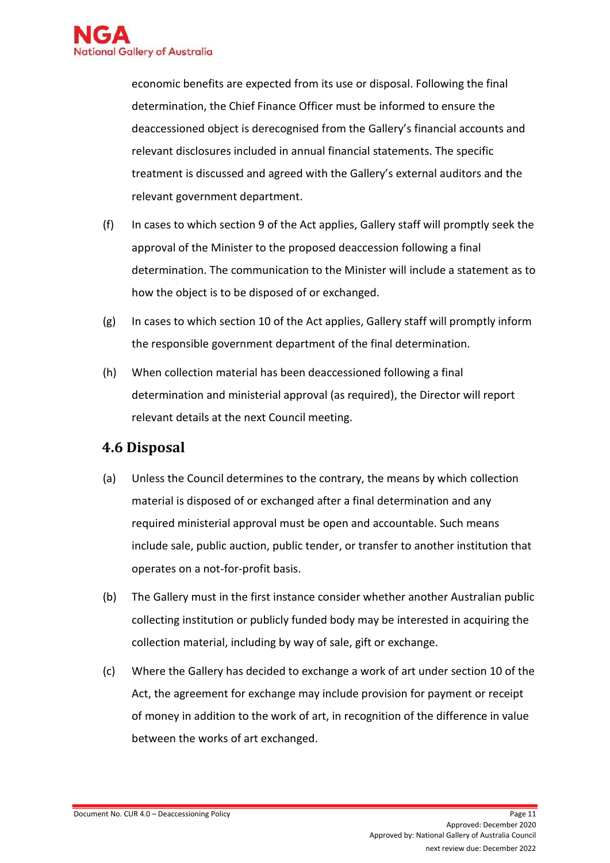

economic benefits are expected from its use or disposal. Following the final determination, the Chief Finance Officer must be informed to ensure the deaccessioned object is derecognised from the Gallery's financial accounts and relevant disclosures included in annual financial statements. The specific treatment is discussed and agreed with the Gallery's external auditors and the relevant government department.

- (f) In cases to which section 9 of the Act applies, Gallery staff will promptly seek the approval of the Minister to the proposed deaccession following a final determination. The communication to the Minister will include a statement as to how the object is to be disposed of or exchanged.
- $(g)$  In cases to which section 10 of the Act applies, Gallery staff will promptly inform the responsible government department of the final determination.
- (h) When collection material has been deaccessioned following a final determination and ministerial approval (as required), the Director will report relevant details at the next Council meeting.

### **4.6 Disposal**

- (a) Unless the Council determines to the contrary, the means by which collection material is disposed of or exchanged after a final determination and any required ministerial approval must be open and accountable. Such means include sale, public auction, public tender, or transfer to another institution that operates on a not-for-profit basis.
- (b) The Gallery must in the first instance consider whether another Australian public collecting institution or publicly funded body may be interested in acquiring the collection material, including by way of sale, gift or exchange.
- (c) Where the Gallery has decided to exchange a work of art under section 10 of the Act, the agreement for exchange may include provision for payment or receipt of money in addition to the work of art, in recognition of the difference in value between the works of art exchanged.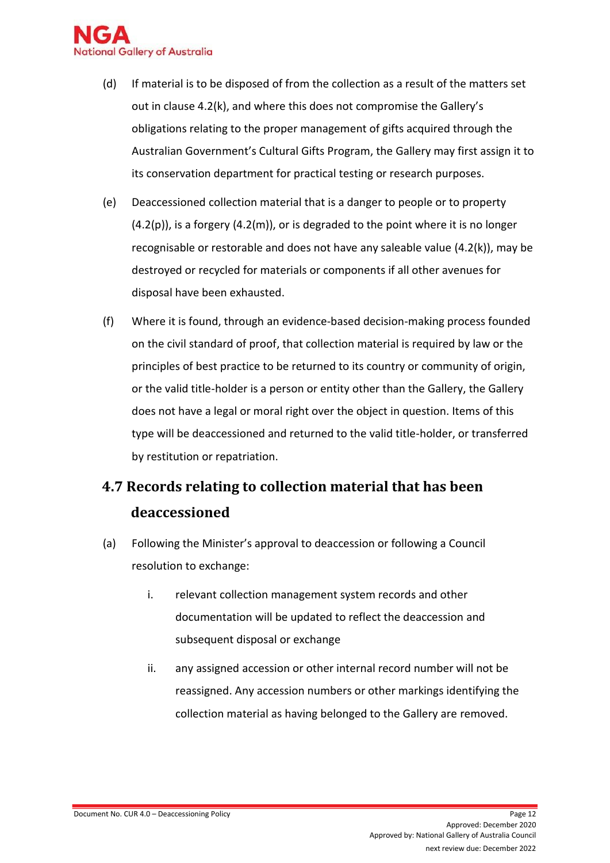

- (d) If material is to be disposed of from the collection as a result of the matters set out in clause 4.2(k), and where this does not compromise the Gallery's obligations relating to the proper management of gifts acquired through the Australian Government's Cultural Gifts Program, the Gallery may first assign it to its conservation department for practical testing or research purposes.
- (e) Deaccessioned collection material that is a danger to people or to property  $(4.2(p))$ , is a forgery  $(4.2(m))$ , or is degraded to the point where it is no longer recognisable or restorable and does not have any saleable value (4.2(k)), may be destroyed or recycled for materials or components if all other avenues for disposal have been exhausted.
- (f) Where it is found, through an evidence-based decision-making process founded on the civil standard of proof, that collection material is required by law or the principles of best practice to be returned to its country or community of origin, or the valid title-holder is a person or entity other than the Gallery, the Gallery does not have a legal or moral right over the object in question. Items of this type will be deaccessioned and returned to the valid title-holder, or transferred by restitution or repatriation.

# **4.7 Records relating to collection material that has been deaccessioned**

- (a) Following the Minister's approval to deaccession or following a Council resolution to exchange:
	- i. relevant collection management system records and other documentation will be updated to reflect the deaccession and subsequent disposal or exchange
	- ii. any assigned accession or other internal record number will not be reassigned. Any accession numbers or other markings identifying the collection material as having belonged to the Gallery are removed.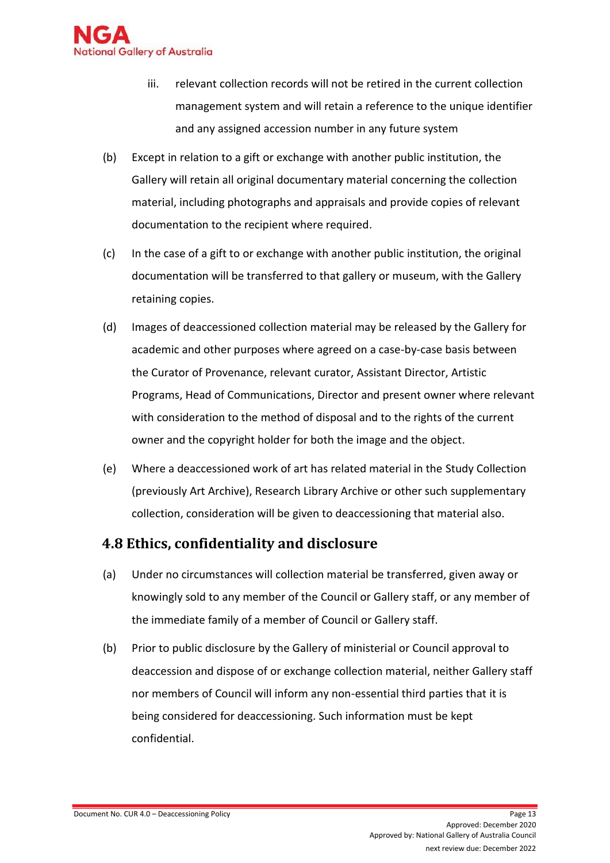

- iii. relevant collection records will not be retired in the current collection management system and will retain a reference to the unique identifier and any assigned accession number in any future system
- (b) Except in relation to a gift or exchange with another public institution, the Gallery will retain all original documentary material concerning the collection material, including photographs and appraisals and provide copies of relevant documentation to the recipient where required.
- (c) In the case of a gift to or exchange with another public institution, the original documentation will be transferred to that gallery or museum, with the Gallery retaining copies.
- (d) Images of deaccessioned collection material may be released by the Gallery for academic and other purposes where agreed on a case-by-case basis between the Curator of Provenance, relevant curator, Assistant Director, Artistic Programs, Head of Communications, Director and present owner where relevant with consideration to the method of disposal and to the rights of the current owner and the copyright holder for both the image and the object.
- (e) Where a deaccessioned work of art has related material in the Study Collection (previously Art Archive), Research Library Archive or other such supplementary collection, consideration will be given to deaccessioning that material also.

### **4.8 Ethics, confidentiality and disclosure**

- (a) Under no circumstances will collection material be transferred, given away or knowingly sold to any member of the Council or Gallery staff, or any member of the immediate family of a member of Council or Gallery staff.
- (b) Prior to public disclosure by the Gallery of ministerial or Council approval to deaccession and dispose of or exchange collection material, neither Gallery staff nor members of Council will inform any non-essential third parties that it is being considered for deaccessioning. Such information must be kept confidential.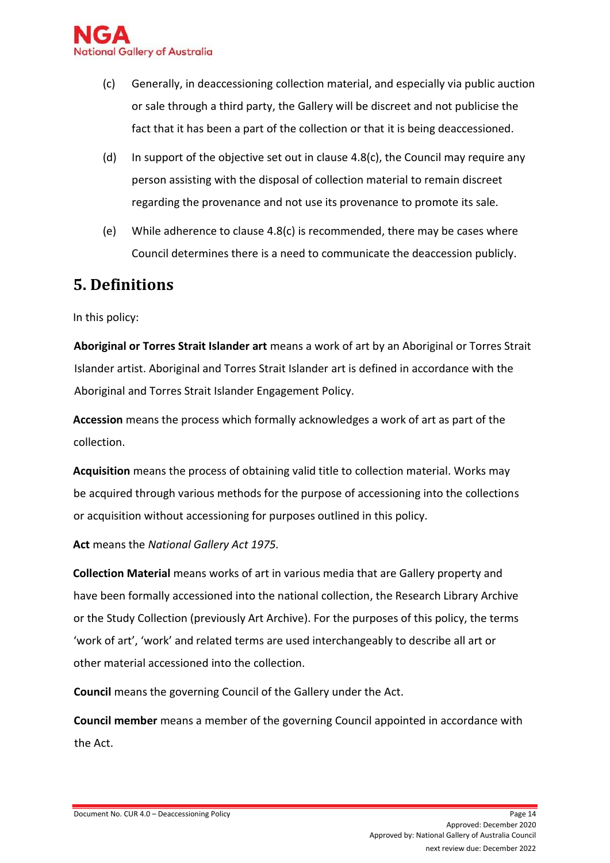

- (c) Generally, in deaccessioning collection material, and especially via public auction or sale through a third party, the Gallery will be discreet and not publicise the fact that it has been a part of the collection or that it is being deaccessioned.
- (d) In support of the objective set out in clause  $4.8(c)$ , the Council may require any person assisting with the disposal of collection material to remain discreet regarding the provenance and not use its provenance to promote its sale.
- (e) While adherence to clause 4.8(c) is recommended, there may be cases where Council determines there is a need to communicate the deaccession publicly.

### <span id="page-13-0"></span>**5. Definitions**

In this policy:

**Aboriginal or Torres Strait Islander art** means a work of art by an Aboriginal or Torres Strait Islander artist. Aboriginal and Torres Strait Islander art is defined in accordance with the Aboriginal and Torres Strait Islander Engagement Policy.

**Accession** means the process which formally acknowledges a work of art as part of the collection.

**Acquisition** means the process of obtaining valid title to collection material. Works may be acquired through various methods for the purpose of accessioning into the collections or acquisition without accessioning for purposes outlined in this policy.

**Act** means the *National Gallery Act 1975.* 

**Collection Material** means works of art in various media that are Gallery property and have been formally accessioned into the national collection, the Research Library Archive or the Study Collection (previously Art Archive). For the purposes of this policy, the terms 'work of art', 'work' and related terms are used interchangeably to describe all art or other material accessioned into the collection.

**Council** means the governing Council of the Gallery under the Act.

**Council member** means a member of the governing Council appointed in accordance with the Act.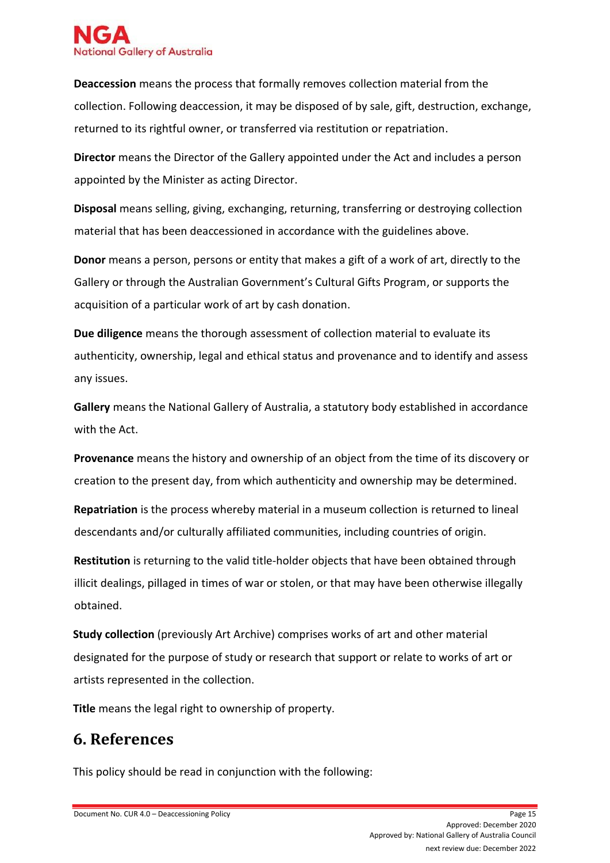

**Deaccession** means the process that formally removes collection material from the collection. Following deaccession, it may be disposed of by sale, gift, destruction, exchange, returned to its rightful owner, or transferred via restitution or repatriation.

**Director** means the Director of the Gallery appointed under the Act and includes a person appointed by the Minister as acting Director.

**Disposal** means selling, giving, exchanging, returning, transferring or destroying collection material that has been deaccessioned in accordance with the guidelines above.

**Donor** means a person, persons or entity that makes a gift of a work of art, directly to the Gallery or through the Australian Government's Cultural Gifts Program, or supports the acquisition of a particular work of art by cash donation.

**Due diligence** means the thorough assessment of collection material to evaluate its authenticity, ownership, legal and ethical status and provenance and to identify and assess any issues.

**Gallery** means the National Gallery of Australia, a statutory body established in accordance with the Act.

**Provenance** means the history and ownership of an object from the time of its discovery or creation to the present day, from which authenticity and ownership may be determined.

**Repatriation** is the process whereby material in a museum collection is returned to lineal descendants and/or culturally affiliated communities, including countries of origin.

**Restitution** is returning to the valid title-holder objects that have been obtained through illicit dealings, pillaged in times of war or stolen, or that may have been otherwise illegally obtained.

**Study collection** (previously Art Archive) comprises works of art and other material designated for the purpose of study or research that support or relate to works of art or artists represented in the collection.

**Title** means the legal right to ownership of property.

# <span id="page-14-0"></span>**6. References**

This policy should be read in conjunction with the following: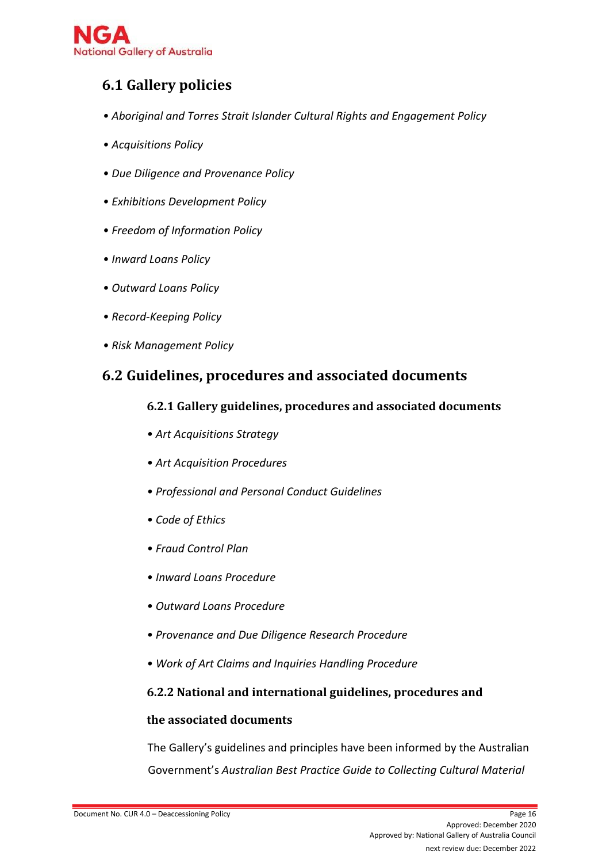

### **6.1 Gallery policies**

- *• Aboriginal and Torres Strait Islander Cultural Rights and Engagement Policy*
- *• Acquisitions Policy*
- *• Due Diligence and Provenance Policy*
- *• Exhibitions Development Policy*
- *• Freedom of Information Policy*
- *• Inward Loans Policy*
- *• Outward Loans Policy*
- *• Record-Keeping Policy*
- *• Risk Management Policy*

### **6.2 Guidelines, procedures and associated documents**

#### **6.2.1 Gallery guidelines, procedures and associated documents**

- *• Art Acquisitions Strategy*
- *• Art Acquisition Procedures*
- *• Professional and Personal Conduct Guidelines*
- *• Code of Ethics*
- *• Fraud Control Plan*
- *• Inward Loans Procedure*
- *• Outward Loans Procedure*
- *• Provenance and Due Diligence Research Procedure*
- *• Work of Art Claims and Inquiries Handling Procedure*

#### **6.2.2 National and international guidelines, procedures and**

#### **the associated documents**

The Gallery's guidelines and principles have been informed by the Australian Government's *Australian Best Practice Guide to Collecting Cultural Material*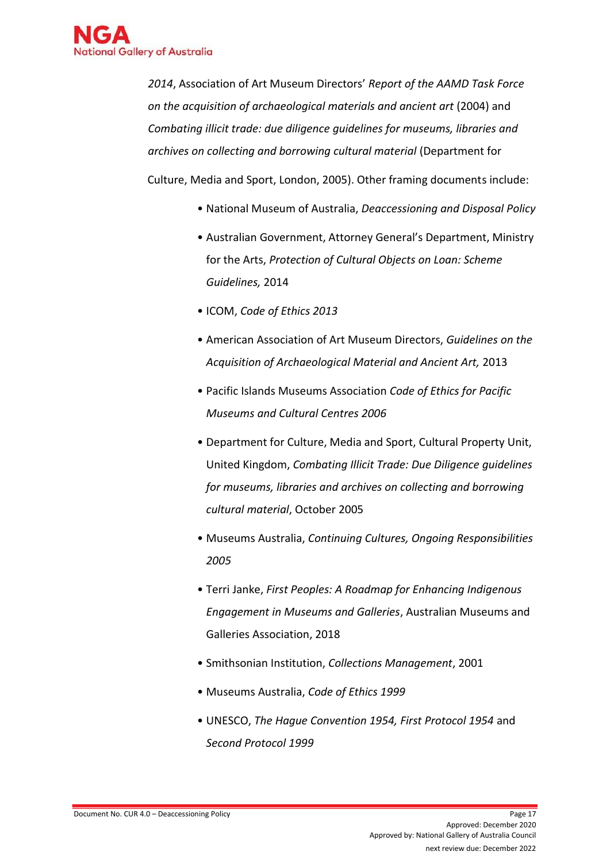

*2014*, Association of Art Museum Directors' *Report of the AAMD Task Force on the acquisition of archaeological materials and ancient art* (2004) and *Combating illicit trade: due diligence guidelines for museums, libraries and archives on collecting and borrowing cultural material* (Department for Culture, Media and Sport, London, 2005). Other framing documents include:

- National Museum of Australia, *Deaccessioning and Disposal Policy*
- Australian Government, Attorney General's Department, Ministry for the Arts, *Protection of Cultural Objects on Loan: Scheme Guidelines,* 2014
- ICOM, *Code of Ethics 2013*
- American Association of Art Museum Directors, *Guidelines on the Acquisition of Archaeological Material and Ancient Art,* 2013
- Pacific Islands Museums Association *Code of Ethics for Pacific Museums and Cultural Centres 2006*
- Department for Culture, Media and Sport, Cultural Property Unit, United Kingdom, *Combating Illicit Trade: Due Diligence guidelines for museums, libraries and archives on collecting and borrowing cultural material*, October 2005
- Museums Australia, *Continuing Cultures, Ongoing Responsibilities 2005*
- Terri Janke, *First Peoples: A Roadmap for Enhancing Indigenous Engagement in Museums and Galleries*, Australian Museums and Galleries Association, 2018
- Smithsonian Institution, *Collections Management*, 2001
- Museums Australia, *Code of Ethics 1999*
- UNESCO, *The Hague Convention 1954, First Protocol 1954* and *Second Protocol 1999*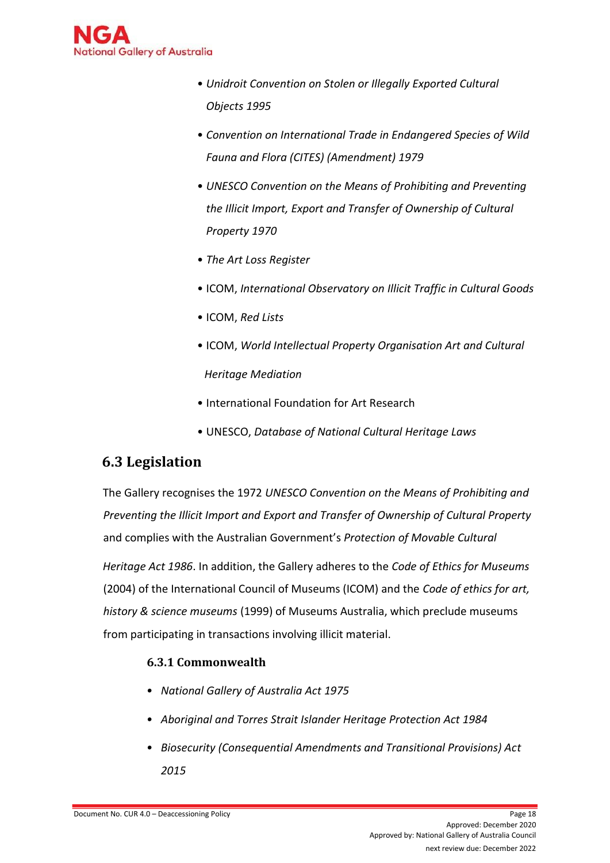

- *Unidroit Convention on Stolen or Illegally Exported Cultural Objects 1995*
- *Convention on International Trade in Endangered Species of Wild Fauna and Flora (CITES) (Amendment) 1979*
- *UNESCO Convention on the Means of Prohibiting and Preventing the Illicit Import, Export and Transfer of Ownership of Cultural Property 1970*
- *The Art Loss Register*
- ICOM, *International Observatory on Illicit Traffic in Cultural Goods*
- ICOM, *Red Lists*
- ICOM, *World Intellectual Property Organisation Art and Cultural Heritage Mediation*
- International Foundation for Art Research
- UNESCO, *Database of National Cultural Heritage Laws*

# **6.3 Legislation**

The Gallery recognises the 1972 *UNESCO Convention on the Means of Prohibiting and Preventing the Illicit Import and Export and Transfer of Ownership of Cultural Property*  and complies with the Australian Government's *Protection of Movable Cultural* 

*Heritage Act 1986*. In addition, the Gallery adheres to the *Code of Ethics for Museums*  (2004) of the International Council of Museums (ICOM) and the *Code of ethics for art, history & science museums* (1999) of Museums Australia, which preclude museums from participating in transactions involving illicit material.

### **6.3.1 Commonwealth**

- *• National Gallery of Australia Act 1975*
- *• Aboriginal and Torres Strait Islander Heritage Protection Act 1984*
- *• Biosecurity (Consequential Amendments and Transitional Provisions) Act 2015*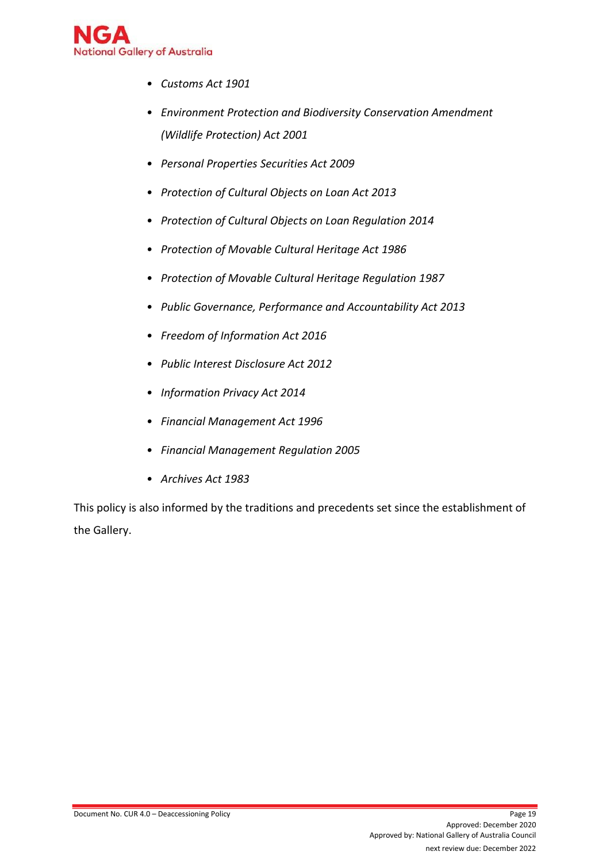

- *• Customs Act 1901*
- *• Environment Protection and Biodiversity Conservation Amendment (Wildlife Protection) Act 2001*
- *• Personal Properties Securities Act 2009*
- *• Protection of Cultural Objects on Loan Act 2013*
- *• Protection of Cultural Objects on Loan Regulation 2014*
- *• Protection of Movable Cultural Heritage Act 1986*
- *• Protection of Movable Cultural Heritage Regulation 1987*
- *• Public Governance, Performance and Accountability Act 2013*
- *• Freedom of Information Act 2016*
- *• [Public Interest Disclosure Act 2012](http://www.legislation.act.gov.au/a/2012-43/default.asp)*
- *• Information Privacy Act 2014*
- *• Financial Management Act 1996*
- *• Financial Management Regulation 2005*
- *• Archives Act 1983*

This policy is also informed by the traditions and precedents set since the establishment of the Gallery.